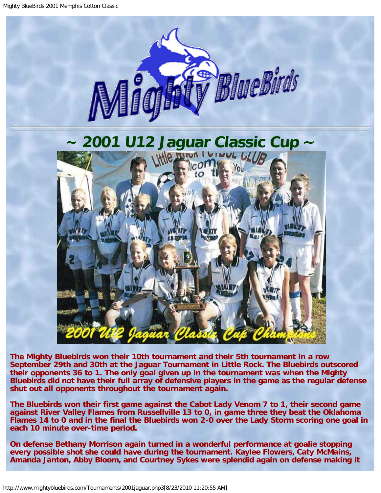<span id="page-0-0"></span>

**The Mighty Bluebirds won their 10th tournament and their 5th tournament in a row September 29th and 30th at the Jaguar Tournament in Little Rock. The Bluebirds outscored their opponents 36 to 1. The only goal given up in the tournament was when the Mighty Bluebirds did not have their full array of defensive players in the game as the regular defense shut out all opponents throughout the tournament again.**

**The Bluebirds won their first game against the Cabot Lady Venom 7 to 1, their second game against River Valley Flames from Russellville 13 to 0, in game three they beat the Oklahoma Flames 14 to 0 and in the final the Bluebirds won 2-0 over the Lady Storm scoring one goal in each 10 minute over-time period.**

**On defense Bethany Morrison again turned in a wonderful performance at goalie stopping every possible shot she could have during the tournament. Kaylee Flowers, Caty McMains, Amanda Janton, Abby Bloom, and Courtney Sykes were splendid again on defense making it**